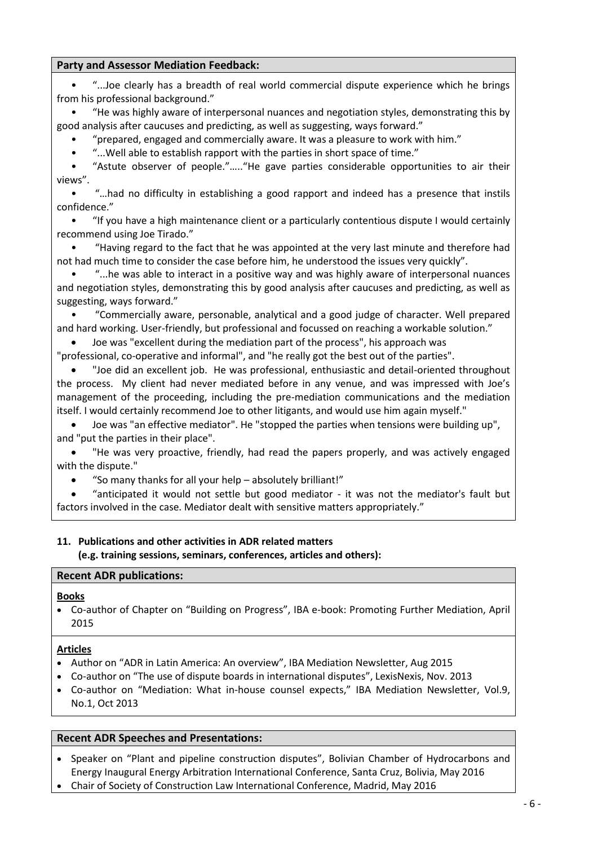# **VIAC – Questionnaire for Mediators**

- **1. Name: Joseph Tirado**
- **2. Nationality:** UK

#### **3. Contact information**

| Address:              | Garrigues UK LLP, 100, Cheapside, London EC2V 6DT, UK        |
|-----------------------|--------------------------------------------------------------|
| Telephone:<br>Fax:    | +44 (0) 207 796 1940 (office), +44 (0) 7557 868 952 (mobile) |
| E-Mail:               | joe.tirado@garrigues.com                                     |
| Website:<br>LinkedIn: | www.garrigues.com<br>n/a                                     |

**4. Education and professional experience (original profession; where did you study?):** *Please add your CV! – See attached.*

#### **Education:**

Manchester Metropolitan University, UK and Manchester Law Society, UK: Graduate Diploma in Commercial Litigation, 1996

College of Law, Chester, UK: Law Society Final Examinations 1991

University of Birmingham, UK and University of Valencia, Spain: BA (Hons) with distinction in Hispanic Studies, 1984-88

#### **Career History:**

Garrigues UK LLP, London Partner and Co-Head of International Arbitration and ADR, April 2016 to present

Winston & Strawn LLP, London Partner, Global Co-Chair of International Arbitration, October 2012 to January 2016

Norton Rose LLP (now NortonRose Fulbright LLP), London Partner, Head and Co-Head of International Arbitration and ADR, April 2007 to October 2012

Baker Botts LLP, London Partner, Trial, January 2004 to April 2007 Senior Associate, Trial, October 2000 to December 2003

Lovells (now HoganLovells LLP), London Associate, Commercial Litigation, January 1997 to September 2000

DLA (now DLA Piper LLP), Manchester Associate, Commercial Litigation, July 1994 to December 1996

Boodle Hatfield, London Trainee Solicitor, September 1992 to June 1994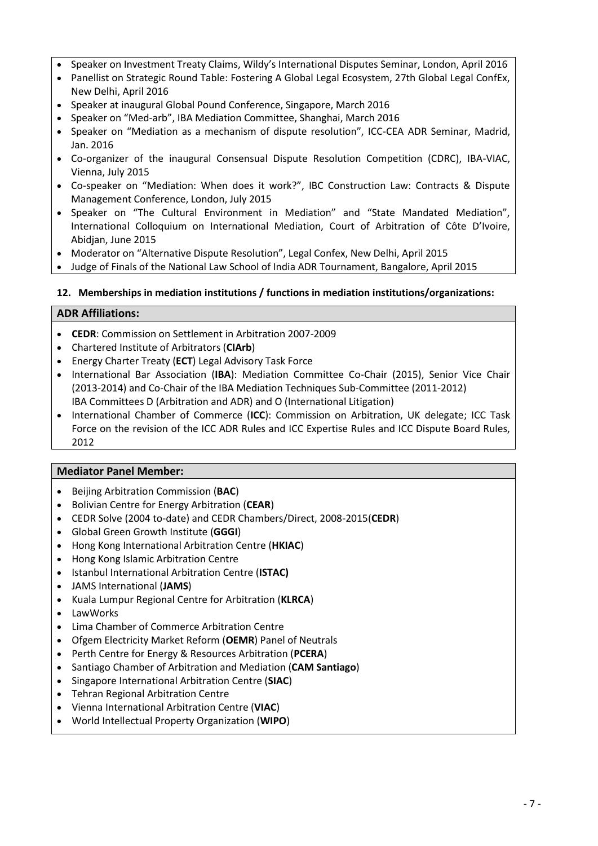# **5. Core area of current professional activity:**

General commercial international dispute resolution, including litigation, international commercial and investment arbitration and ADR.

### **6. Accreditation in the field of ADR (including relevant trainings and connected qualifications):**

### **Professional Qualifications and Admissions:**

- Solicitor, England & Wales, 1994
- Qualified Solicitor-Advocate (Higher Courts Civil Proceedings), 2004
- Centre for Effective Dispute Resolution (CEDR) Accredited Mediator, 2004

#### **7. Practical experience in mediation**

- How many (international) mediations have you participated in
	- as single/co-mediator/in a team?
	- administered by an institution; under which Rules?
	- in which areas/fields?
	- how complex (*please provide examples, participation of lawyers/experts*)?

| <b>Experience in Mediation:</b> |                      |               |             |         |  |
|---------------------------------|----------------------|---------------|-------------|---------|--|
|                                 |                      | Sole mediator | Co-mediator | Counsel |  |
| <b>International</b>            | <b>Institutional</b> |               |             |         |  |
| <b>Domestic</b>                 | <b>Institutional</b> |               |             |         |  |
| Depresentative Matters          |                      |               |             |         |  |

# **Representative Matters:**

## **Banking and Finance**

- **CEDR Co-mediator:** Dispute concerning charges in excess of US\$1 million for the supply of water pursuant to a financial model and the proposed revisions to the financial model. Settled.
- **CEDR Co-mediator** in complicated breach of confidence dispute between credit reference agencies and a not-for-profit membership association regarding on-going co-operation. Settled.
- **LawWorks Mediator:** Contentious family loan dispute amounting to approximately US\$75,000. Settled in one day.

#### **Commodities**

 **ICC/Mediation:** South American merchandise safe custody contract dispute in London between a US based lender and European inventory services company.

#### **Construction and Engineering**

- **CEDR Mediator:** Dispute between a contractor and employer regarding the partial completion of engineering services in relation to the design and construction of a unique high-quality residential dwelling. Settled.
- **CEDR Mediator:** Claim for unpaid invoices relating to disputed construction works. Settled.
- **ICC Mediator:** US\$27 million dispute between Latin American parties relating to the construction of a ethanol plant in South America.

# **Energy: Oil & Gas**

- **CEDR Mediator:** JV dispute concerning the provision of equipment and services in relation to the revamping and expansion of an electro-chlorination system in the Middle East. Settled.
- **CEDR Mediator:** US\$10 million dispute relating to the sale of goods and unpaid invoices in the oil exploration sector in Central Asia.

# **Energy: Renewables**

 **ICC/Mediation:** Supply agreement dispute between an Asian supplier of wind turbines in a US\$35 million London seated ICC arbitration against a European contractor.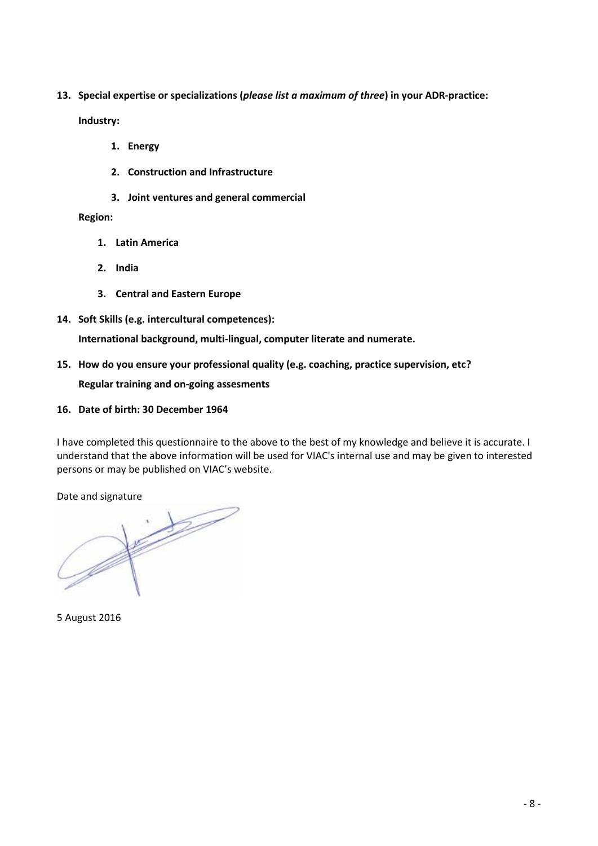# **Information, Communication and Technology (ICT)**

- **CEDR Mediator/Arbitrator:** Dispute between UK and North American parties regarding unpaid fees for services rendered in connection with the development of video games.
- **CEDR Mediator:** Asset price dispute relating to the sale of a technology company. Approximately US\$100,000 in dispute. Settled.
- **ICC Mediator:** Multi-party dispute in excess of US\$250 million involving an African State party relating to the setting up of a national telecommunications operator.

# **Professional Services**

- **High Court action/ADR Group Mediation:** Acting for large English national law firm in multimillion pound professional negligence involving complex issues of proprietary rights regarding goods located in Spain.
- **CEDR Co-mediator:** Court annexed dispute concerning unpaid invoices for legal services rendered to a property company. Settled.
- **CEDR Co-mediator:** Contractual dispute involving foreign parties regarding the provision of interior design services. Settled.

### **Travel**

- **JAMS International Mediator**: In excess of US\$35 million multi-claimant (almost 500) and over 12,000 potential claimants test case mediation relating to a breach of contract/breach of trust matter concerning an international time share exchange scheme.
- **CEDR Mediator:** Indemnity claim for monies paid out to holidaymakers in respect of a mass claim for compensation following an alleged food poisoning incident at a hotel in Spain. Settled.

### **General Commercial**

- **Ad hoc/Mediation:** International tax dispute arbitration and mediation in London between a Panamanian company and an English company regarding the acquisition of a European subsidiary company.
- **Ad hoc/Mediation:** French land contamination insurance arbitration and mediation in London involving a Holland-based holding company insured and an English insurer.
- **CEDR Mediator:** Contractual dispute relating to the provision and invoicing of dry-cleaning services.
- **CEDR Mediator:** Dispute between European parties concerning the alleged breach of a distribution agreement relating to the supply of lighting products in Europe. Arbitration in London for the contractual claims. Parallel proceedings commenced in local European court alleging collusion in the breach of a former director's restrictive covenants, including use of confidential information. Amount in dispute approximately US\$5 million.
- **CEDR Mediator:** Contractual dispute between a purchaser and supplier regarding an US\$750,000 order of castors and wheels for use on hospital trolleys and carts. Settled.
- **CEDR Mediator:** Landlord and tenant dispute in relation to a substantial residential property with development potential in excess of US\$10 million. Settled.
- **CEDR Co-mediator:** Court annexed family dispute between former co-habitees concerning the division of shared property. Settled.
- **ICC/ADR Group Mediation:** Representing a major European pharmaceutical company, in a contract dispute with a company regarding the termination of a long-term distribution agreement in the Middle East.

#### How often have you acted in a different function (e.g. consultant, expert)?

#### **Advisory:**

- World Bank appointed Expert consultant to advise a Latin American on ADR reform.
- Honorary Legal Adviser to the Royal Courts of Justice Citizens´ Advice Bureau.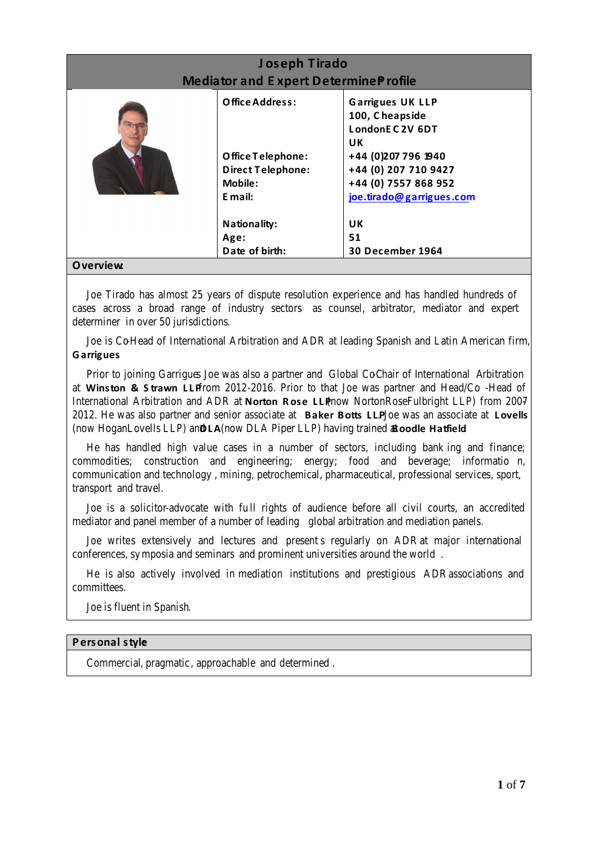What other ADR-experience do you have?

#### **Experience in Expert Determination:**

- Expert in a dispute between a Government Department and contractor relating to the provision of security services.
- Acted as **standing Expert** on electoral voting services for London Mayoral Elections 2008.
- Represented a European oil exploration company in a dispute regarding North Sea royalty payments.
- Represented the English subsidiary of a European power company in a dispute regarding a North Sea contract pricing dispute.

#### **8. Languages (including levels)**

Mother tongue: English

Working languages (i.e. languages in which you have both a spoken and written command so that you may conduct mediation proceedings in this language): Spanish

Basic knowledge: French and Portuguese

#### **9. Style of mediation**

*Where do you see yourself? Please tick box as appropriate or indicate your preferred style.*



# **INTERACTION DIMENSION**

*©* Alexander, Nadja (2011) "The Mediation Meta-Model - the realities of mediation practice," *ADR Bulletin*: Vol. 12: No. 6, Article 5. Available at[: http://epublications.bond.edu.au/adr/vol12/iss6/5;](http://epublications.bond.edu.au/adr/vol12/iss6/5) *see also here for a detailed description of the 6 mediation styles.*

# **Personal style:**

Commercial, pragmatic, approachable and determined.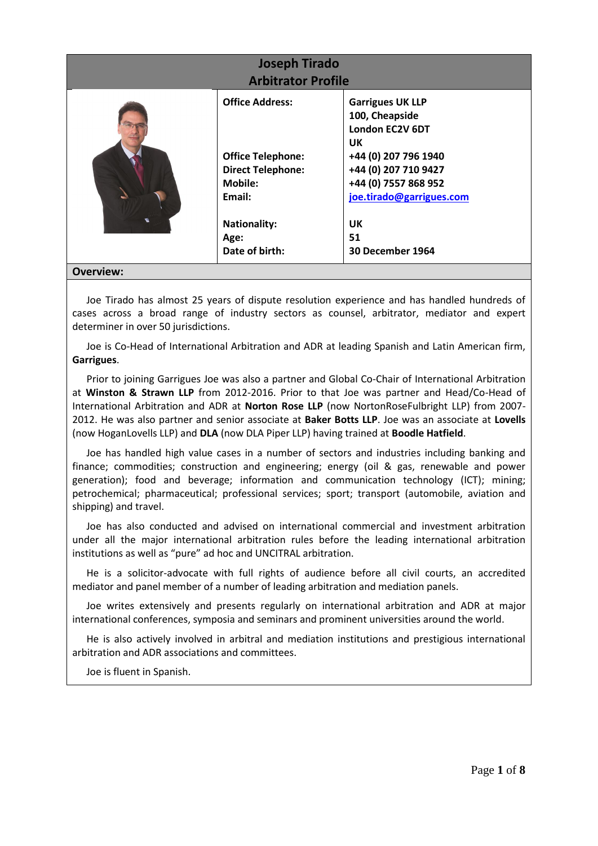#### **10. Please describe aspects of your personality which could be interesting to clients you are going to mediate; what would former clients emphasize in your work?**

#### **What clients and peers say about him:**

Joe is recognized as a ranked individual for international arbitration and ADR in leading legal directories, where he is described as "*first class*" (Chambers UK, 2011), "*good and experienced*" (Legal500 UK, 2009) and an "*excellent specialist"* (Legal500 UK, 2016), as well as having "*an excellent grasp of clients' needs*" (Chambers Global The World's Leading Lawyers, 2007). He is praised as a "*thoroughly solid performer*" (Chambers UK Guide to the Legal Profession, 2008) and as a "*practical and legally sound lawyer who goes beyond lawyering to give good commercial advice*" (Legal500 UK, 2010), offering "*…practical guidance that is always vested in the client's best interests*" (Chambers UK, 2010), "*out-of-the-box solutions to very complex problems*" (Legal500 UK, 2011) and "*spot-on*" advice (Legal500 UK, 2014).

He is "*best known for his work on energy-related disputes, but is also recognized for his financial services and public international law expertise*" (Chambers UK, 2011). He is "*a great guy to have on your side…He is quick on the uptake and able to think laterally across different issues.*" (Chambers UK, 2012). He is "f*antastic to work with due to his knowledge of the law and his understanding of our business*" (Chambers Asia Pacific, 2012).

"*[H]e has a very good commercial mind and is good at applying legal solutions to clients' needs.*" (Chambers Global, 2013). He is also praised for being "*extremely able - he's a very experienced arbitration practitioner, very steady, knows his subject and doesn't get panicked by anything; a calm and safe pair of hands.*" (Chambers Global, 2013).

Peers regard him as "*a great disputes lawyer who knows his subject and doesn't get panicked by anything.*" He has an "*established reputation amongst clients in the energy and shipping sectors, and is also in high demand as an arbitrator.*" (Chambers Asia Pacific, 2013). He "*remains popular with energy and shipping clients, who admire his sound judgement and dedication*" (Chambers Asia Pacific, 2014). He is "*a highly effective practitioner with a sound tactical sense and an ability to bring out the best in each member of his team.*" (Chambers UK, 2014). He is a "*very skilled and well prepared*" practitioner as well as a "*tough negotiator*" and "*experienced arbitrator.*" (Chambers UK, 2016).

Joe is particularly well known for his work in the CIS, India (Ranked Foreign Expert, Chambers Global), Spain (Ranked Foreign Expert, Chambers Global) and Latin America (Latin America's Top 100 Lawyers, Latinvex 2016). The Latin American disputes team led by Joe was noted for its "*excellent understanding of Latin America, which makes it essential for big cases in the region*" (Legal500 Latin America 2015) and for being "*highly experienced in arbitral procedures at the ICC and has the capacity to work with technical and legal issues in Latin America*" (Legal500 Latin America 2015). Joe himself is acknowledged for his "*experience in ICC arbitrations, fluency in Spanish, and understanding of complex issues of international law make him a very good litigator*" (Legal500 Latin America 2015). Clients appreciate "*…his fluency in English and Spanish." and his "… deep understanding of the international market.*" (Chambers Latin America 2016).

The General Counsel of a major Asian travel conglomerate in an open letter to the firm's Chairman noted:

"*…we as an organization would have never ever achieved the settlement that we finally managed if it was not for the brilliance, perseverance, strategic and timely advise of the star team led by Joe…that went beyond highest level of professionalism and ethical standards and not to mention the warmth, hospitality and friendship that we have developed from this engagement. Demanding anything more from anyone would be inhuman. I hope we never have to ever fight any battle of this nature but if we did, hell would have to freeze over before we instructed anyone else…*".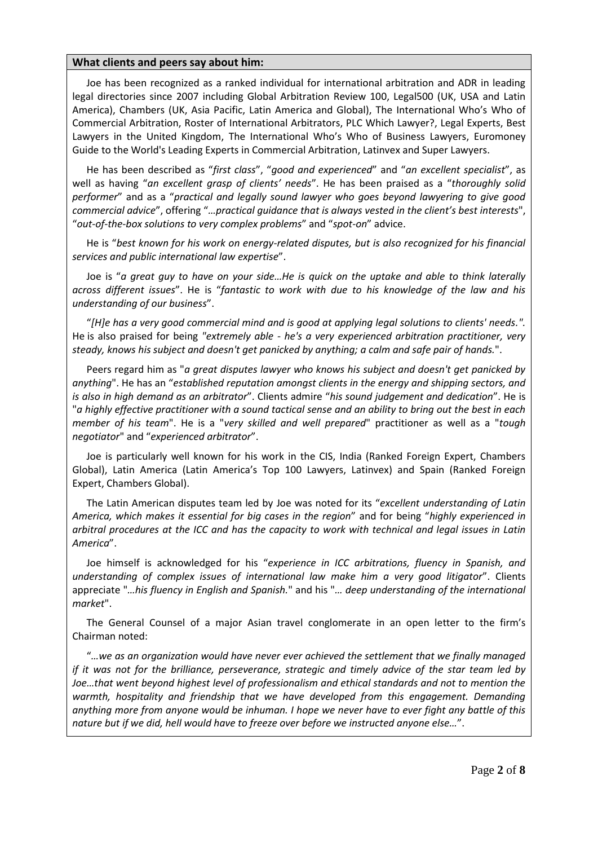# **Party and Assessor Mediation Feedback:**

• "...Joe clearly has a breadth of real world commercial dispute experience which he brings from his professional background."

• "He was highly aware of interpersonal nuances and negotiation styles, demonstrating this by good analysis after caucuses and predicting, as well as suggesting, ways forward."

• "prepared, engaged and commercially aware. It was a pleasure to work with him."

• "...Well able to establish rapport with the parties in short space of time."

• "Astute observer of people."….."He gave parties considerable opportunities to air their views".

• "…had no difficulty in establishing a good rapport and indeed has a presence that instils confidence."

• "If you have a high maintenance client or a particularly contentious dispute I would certainly recommend using Joe Tirado."

• "Having regard to the fact that he was appointed at the very last minute and therefore had not had much time to consider the case before him, he understood the issues very quickly".

• "...he was able to interact in a positive way and was highly aware of interpersonal nuances and negotiation styles, demonstrating this by good analysis after caucuses and predicting, as well as suggesting, ways forward."

• "Commercially aware, personable, analytical and a good judge of character. Well prepared and hard working. User-friendly, but professional and focussed on reaching a workable solution."

Joe was "excellent during the mediation part of the process", his approach was

"professional, co-operative and informal", and "he really got the best out of the parties".

 "Joe did an excellent job. He was professional, enthusiastic and detail-oriented throughout the process. My client had never mediated before in any venue, and was impressed with Joe's management of the proceeding, including the pre-mediation communications and the mediation itself. I would certainly recommend Joe to other litigants, and would use him again myself."

- Joe was "an effective mediator". He "stopped the parties when tensions were building up", and "put the parties in their place".
- "He was very proactive, friendly, had read the papers properly, and was actively engaged with the dispute."
	- "So many thanks for all your help absolutely brilliant!"

 "anticipated it would not settle but good mediator - it was not the mediator's fault but factors involved in the case. Mediator dealt with sensitive matters appropriately."

# **11. Publications and other activities in ADR related matters (e.g. training sessions, seminars, conferences, articles and others):**

#### **Recent ADR publications:**

# **Books**

 Co-author of Chapter on "Building on Progress", IBA e-book: Promoting Further Mediation, April 2015

# **Articles**

- Author on "ADR in Latin America: An overview", IBA Mediation Newsletter, Aug 2015
- Co-author on "The use of dispute boards in international disputes", LexisNexis, Nov. 2013
- Co-author on "Mediation: What in-house counsel expects," IBA Mediation Newsletter, Vol.9, No.1, Oct 2013

# **Recent ADR Speeches and Presentations:**

- Speaker on "Plant and pipeline construction disputes", Bolivian Chamber of Hydrocarbons and Energy Inaugural Energy Arbitration International Conference, Santa Cruz, Bolivia, May 2016
- Chair of Society of Construction Law International Conference, Madrid, May 2016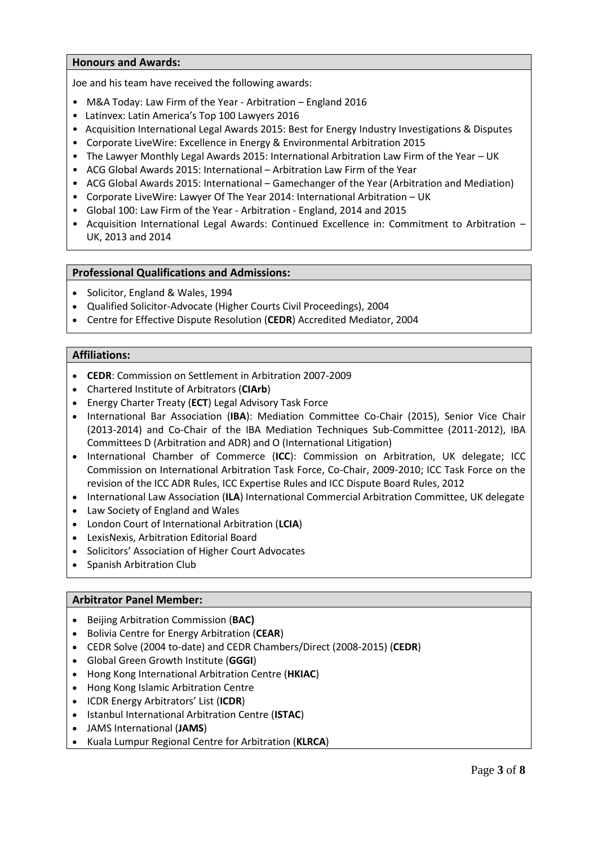- Speaker on Investment Treaty Claims, Wildy's International Disputes Seminar, London, April 2016
- Panellist on Strategic Round Table: Fostering A Global Legal Ecosystem, 27th Global Legal ConfEx, New Delhi, April 2016
- Speaker at inaugural Global Pound Conference, Singapore, March 2016
- Speaker on "Med-arb", IBA Mediation Committee, Shanghai, March 2016
- Speaker on "Mediation as a mechanism of dispute resolution", ICC-CEA ADR Seminar, Madrid, Jan. 2016
- Co-organizer of the inaugural Consensual Dispute Resolution Competition (CDRC), IBA-VIAC, Vienna, July 2015
- Co-speaker on "Mediation: When does it work?", IBC Construction Law: Contracts & Dispute Management Conference, London, July 2015
- Speaker on "The Cultural Environment in Mediation" and "State Mandated Mediation", International Colloquium on International Mediation, Court of Arbitration of Côte D'Ivoire, Abidjan, June 2015
- Moderator on "Alternative Dispute Resolution", Legal Confex, New Delhi, April 2015
- Judge of Finals of the National Law School of India ADR Tournament, Bangalore, April 2015

# **12. Memberships in mediation institutions / functions in mediation institutions/organizations:**

# **ADR Affiliations:**

- **CEDR**: Commission on Settlement in Arbitration 2007-2009
- Chartered Institute of Arbitrators (**CIArb**)
- Energy Charter Treaty (**ECT**) Legal Advisory Task Force
- International Bar Association (**IBA**): Mediation Committee Co-Chair (2015), Senior Vice Chair (2013-2014) and Co-Chair of the IBA Mediation Techniques Sub-Committee (2011-2012) IBA Committees D (Arbitration and ADR) and O (International Litigation)
- International Chamber of Commerce (ICC): Commission on Arbitration, UK delegate; ICC Task Force on the revision of the ICC ADR Rules and ICC Expertise Rules and ICC Dispute Board Rules, 2012

# **Mediator Panel Member:**

- Beijing Arbitration Commission (**BAC**)
- Bolivian Centre for Energy Arbitration (**CEAR**)
- CEDR Solve (2004 to-date) and CEDR Chambers/Direct, 2008-2015(**CEDR**)
- Global Green Growth Institute (**GGGI**)
- Hong Kong International Arbitration Centre (**HKIAC**)
- Hong Kong Islamic Arbitration Centre
- Istanbul International Arbitration Centre (**ISTAC)**
- JAMS International (**JAMS**)
- Kuala Lumpur Regional Centre for Arbitration (**KLRCA**)
- LawWorks
- Lima Chamber of Commerce Arbitration Centre
- Ofgem Electricity Market Reform (**OEMR**) Panel of Neutrals
- Perth Centre for Energy & Resources Arbitration (**PCERA**)
- Santiago Chamber of Arbitration and Mediation (**CAM Santiago**)
- Singapore International Arbitration Centre (**SIAC**)
- Tehran Regional Arbitration Centre
- Vienna International Arbitration Centre (**VIAC**)
- World Intellectual Property Organization (**WIPO**)